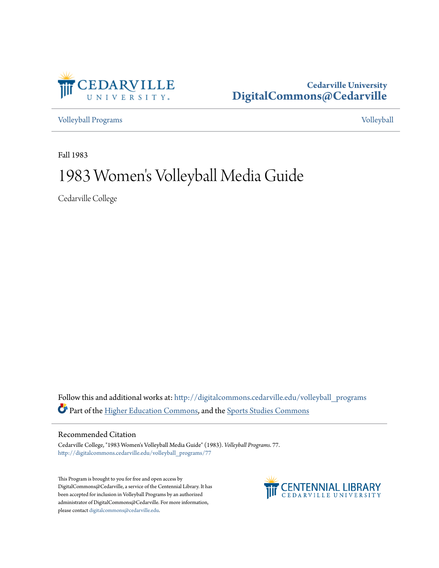

# **Cedarville University [DigitalCommons@Cedarville](http://digitalcommons.cedarville.edu?utm_source=digitalcommons.cedarville.edu%2Fvolleyball_programs%2F77&utm_medium=PDF&utm_campaign=PDFCoverPages)**

[Volleyball Programs](http://digitalcommons.cedarville.edu/volleyball_programs?utm_source=digitalcommons.cedarville.edu%2Fvolleyball_programs%2F77&utm_medium=PDF&utm_campaign=PDFCoverPages) [Volleyball](http://digitalcommons.cedarville.edu/volleyball?utm_source=digitalcommons.cedarville.edu%2Fvolleyball_programs%2F77&utm_medium=PDF&utm_campaign=PDFCoverPages)

Fall 1983

# 1983 Women 's Volleyball Media Guide

Cedarville College

Follow this and additional works at: [http://digitalcommons.cedarville.edu/volleyball\\_programs](http://digitalcommons.cedarville.edu/volleyball_programs?utm_source=digitalcommons.cedarville.edu%2Fvolleyball_programs%2F77&utm_medium=PDF&utm_campaign=PDFCoverPages) Part of the [Higher Education Commons](http://network.bepress.com/hgg/discipline/1245?utm_source=digitalcommons.cedarville.edu%2Fvolleyball_programs%2F77&utm_medium=PDF&utm_campaign=PDFCoverPages), and the [Sports Studies Commons](http://network.bepress.com/hgg/discipline/1198?utm_source=digitalcommons.cedarville.edu%2Fvolleyball_programs%2F77&utm_medium=PDF&utm_campaign=PDFCoverPages)

## Recommended Citation

Cedarville College, "1983 Women's Volleyball Media Guide" (1983). *Volleyball Programs*. 77. [http://digitalcommons.cedarville.edu/volleyball\\_programs/77](http://digitalcommons.cedarville.edu/volleyball_programs/77?utm_source=digitalcommons.cedarville.edu%2Fvolleyball_programs%2F77&utm_medium=PDF&utm_campaign=PDFCoverPages)

This Program is brought to you for free and open access by DigitalCommons@Cedarville, a service of the Centennial Library. It has been accepted for inclusion in Volleyball Programs by an authorized administrator of DigitalCommons@Cedarville. For more information, please contact [digitalcommons@cedarville.edu.](mailto:digitalcommons@cedarville.edu)

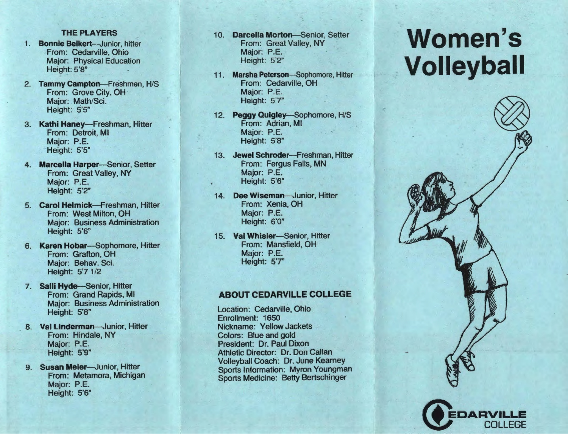# **,:HE PLAYERS**

- 1. **Bonnie Beikert--Junior,** hitter From: Cedarville, Ohio Major: Physical Education Height: 5'8"
- 2. **Tammy Campton-Freshmen,** H/S From: Grove City, OH Major: Math/Sci. Height: 5'5"
- 3. **Kathi Haney-Freshman,** Hitter From: Detroit, Ml Major: P.E. Height: 5'5"
- 4. **Marcella Harper-Senior, Setter** From: Great Valley, NY Major: P.E. Height: 5'2"
- 5. **Carol** Helmick-Freshman, Hitter From: West Milton, OH Major: Business Administration Height: 5'6"
- 6. **Karen** Hobar-Sophomore, Hitter From: Grafton, OH Major: Behav. Sci. Height: 5'7 1/2
- 7. Salli Hyde-Senior, Hitter From: Grand Rapids, Ml Major: Business Administration Height: 5'8"
- 8. **Val Linderman-Junior, Hitter** From: Hindale, NY Major: P.E. Height: 5'9"
- 9. **Susan Meier-Junior, Hitter** From: Metamora, Michigan Major: P.E. Height: 5'6"
- 10. **Darcella Morton-Senior,** Setter From: Great Valley, NY Major: P.E. Height: 5'2"
- 11. **Marsha** Peterson-Sophomore, Hitter From: Cedarville, OH Major: P.E. Height: 5'7"
- 12. **Peggy Quigley-Sophomore, H/S** From: Adrian, Ml Major: P.E. Height: 5'8"
- 13. **Jewel Schroder-Freshman, Hitter** From: Fergus Falls, MN Major: P.E. Height: 5'6"
- 14. **Dee Wiseman-Junior, Hitter** From: Xenia, OH Major: P.E. Height: 6'0"
- 15. **Val Whisler-Senior, Hitter** From: Mansfield, OH Major: P.E. Height: 5'7"

# **ABOUT CEDARVILLE COLLEGE**

Location: Cedarville, Ohio Enrollment: 1650 Nickname: Yellow Jackets Colors: Blue and gold President: Dr. Paul Dixon Athletic Director: Dr. Don Callan Volleyball Coach: Dr. June Kearney Sports Information: **Myron** Youngman Sports Medicine: Betty Bertschinger

# **Women's Volleyball**